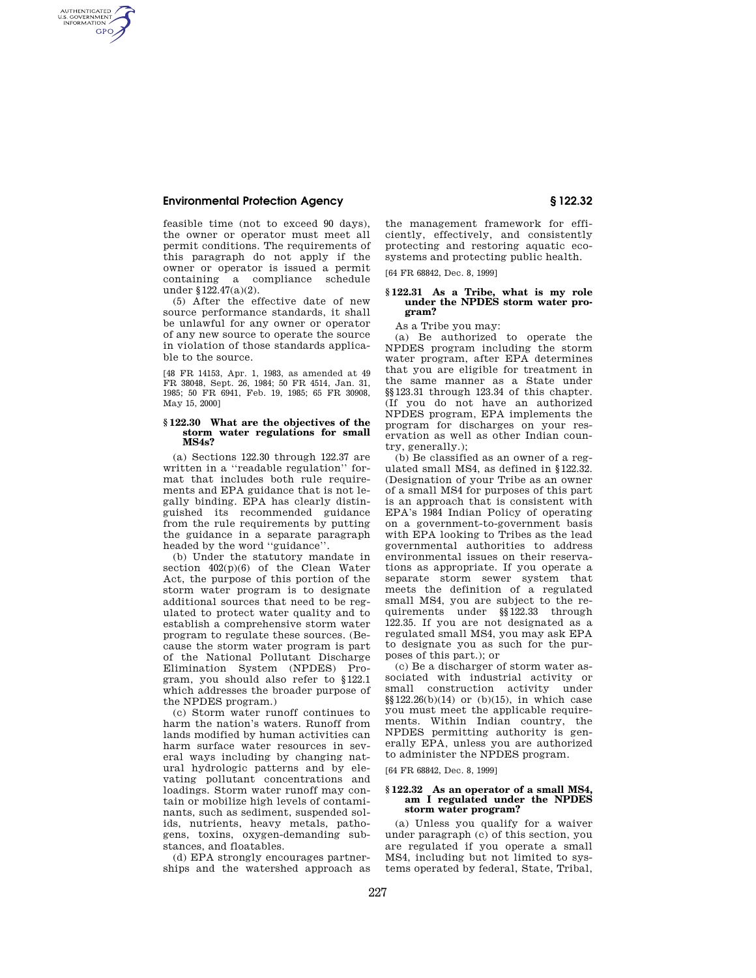# **Environmental Protection Agency § 122.32**

AUTHENTICATED<br>U.S. GOVERNMENT<br>INFORMATION **GPO** 

> feasible time (not to exceed 90 days), the owner or operator must meet all permit conditions. The requirements of this paragraph do not apply if the owner or operator is issued a permit containing a compliance schedule under §122.47(a)(2).

> (5) After the effective date of new source performance standards, it shall be unlawful for any owner or operator of any new source to operate the source in violation of those standards applicable to the source.

> [48 FR 14153, Apr. 1, 1983, as amended at 49 FR 38048, Sept. 26, 1984; 50 FR 4514, Jan. 31, 1985; 50 FR 6941, Feb. 19, 1985; 65 FR 30908, May 15, 2000]

#### **§ 122.30 What are the objectives of the storm water regulations for small MS4s?**

(a) Sections 122.30 through 122.37 are written in a ''readable regulation'' format that includes both rule requirements and EPA guidance that is not legally binding. EPA has clearly distinguished its recommended guidance from the rule requirements by putting the guidance in a separate paragraph headed by the word ''guidance''.

(b) Under the statutory mandate in section  $402(p)(6)$  of the Clean Water Act, the purpose of this portion of the storm water program is to designate additional sources that need to be regulated to protect water quality and to establish a comprehensive storm water program to regulate these sources. (Because the storm water program is part of the National Pollutant Discharge Elimination System (NPDES) Program, you should also refer to §122.1 which addresses the broader purpose of the NPDES program.)

(c) Storm water runoff continues to harm the nation's waters. Runoff from lands modified by human activities can harm surface water resources in several ways including by changing natural hydrologic patterns and by elevating pollutant concentrations and loadings. Storm water runoff may contain or mobilize high levels of contaminants, such as sediment, suspended solids, nutrients, heavy metals, pathogens, toxins, oxygen-demanding substances, and floatables.

(d) EPA strongly encourages partnerships and the watershed approach as

the management framework for efficiently, effectively, and consistently protecting and restoring aquatic ecosystems and protecting public health.

[64 FR 68842, Dec. 8, 1999]

## **§ 122.31 As a Tribe, what is my role under the NPDES storm water program?**

As a Tribe you may:

(a) Be authorized to operate the NPDES program including the storm water program, after EPA determines that you are eligible for treatment in the same manner as a State under §§123.31 through 123.34 of this chapter. (If you do not have an authorized NPDES program, EPA implements the program for discharges on your reservation as well as other Indian country, generally.);

(b) Be classified as an owner of a regulated small MS4, as defined in §122.32. (Designation of your Tribe as an owner of a small MS4 for purposes of this part is an approach that is consistent with EPA's 1984 Indian Policy of operating on a government-to-government basis with EPA looking to Tribes as the lead governmental authorities to address environmental issues on their reservations as appropriate. If you operate a separate storm sewer system that meets the definition of a regulated small MS4, you are subject to the requirements under §§122.33 through 122.35. If you are not designated as a regulated small MS4, you may ask EPA to designate you as such for the purposes of this part.); or

(c) Be a discharger of storm water associated with industrial activity or small construction activity under §§122.26(b)(14) or (b)(15), in which case you must meet the applicable requirements. Within Indian country, the NPDES permitting authority is generally EPA, unless you are authorized to administer the NPDES program.

[64 FR 68842, Dec. 8, 1999]

### **§ 122.32 As an operator of a small MS4, am I regulated under the NPDES storm water program?**

(a) Unless you qualify for a waiver under paragraph (c) of this section, you are regulated if you operate a small MS4, including but not limited to systems operated by federal, State, Tribal,